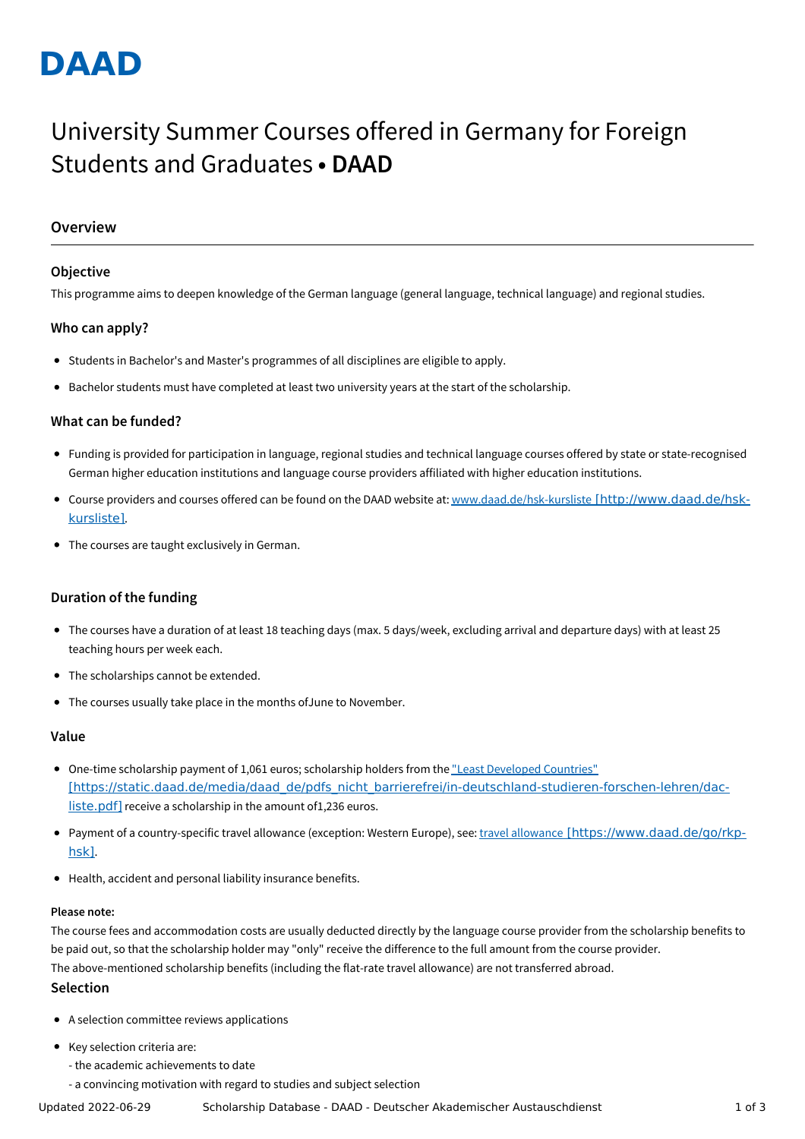# **DAAD**

## University Summer Courses offered in Germany for Foreign Students and Graduates **• DAAD**

## **Overview**

## **Objective**

This programme aims to deepen knowledge of the German language (general language, technical language) and regional studies.

## **Who can apply?**

- Students in Bachelor's and Master's programmes of all disciplines are eligible to apply.
- Bachelor students must have completed at least two university years at the start of the scholarship.

## **What can be funded?**

- Funding is provided for participation in language, regional studies and technical language courses offered by state or state-recognised German higher education institutions and language course providers affiliated with higher education institutions.
- Course providers and courses offered can be found on the DAAD website at: www.daad.de/hsk-kursliste [\[http://www.daad.de/hsk](http://www.daad.de/hsk-kursliste)kursliste].
- The courses are taught exclusively in German.

## **Duration of the funding**

- The courses have a duration of at least 18 teaching days (max. 5 days/week, excluding arrival and departure days) with at least 25 teaching hours per week each.
- The scholarships cannot be extended.
- The courses usually take place in the months ofJune to November.

#### **Value**

- One-time scholarship payment of 1,061 euros; scholarship holders from the "Least Developed Countries" [\[https://static.daad.de/media/daad\\_de/pdfs\\_nicht\\_barrierefrei/in-deutschland-studieren-forschen-lehren/dac](https://static.daad.de/media/daad_de/pdfs_nicht_barrierefrei/in-deutschland-studieren-forschen-lehren/dac-liste.pdf)liste.pdf] receive a scholarship in the amount of1,236 euros.
- Payment of a country-specific travel allowance (exception: Western Europe), see: travel allowance [\[https://www.daad.de/go/rkp](https://www.daad.de/go/rkp-hsk)hsk].
- Health, accident and personal liability insurance benefits.

#### **Please note:**

The course fees and accommodation costs are usually deducted directly by the language course provider from the scholarship benefits to be paid out, so that the scholarship holder may "only" receive the difference to the full amount from the course provider. The above-mentioned scholarship benefits (including the flat-rate travel allowance) are not transferred abroad.

#### **Selection**

- A selection committee reviews applications
- Key selection criteria are:
	- the academic achievements to date
	- a convincing motivation with regard to studies and subject selection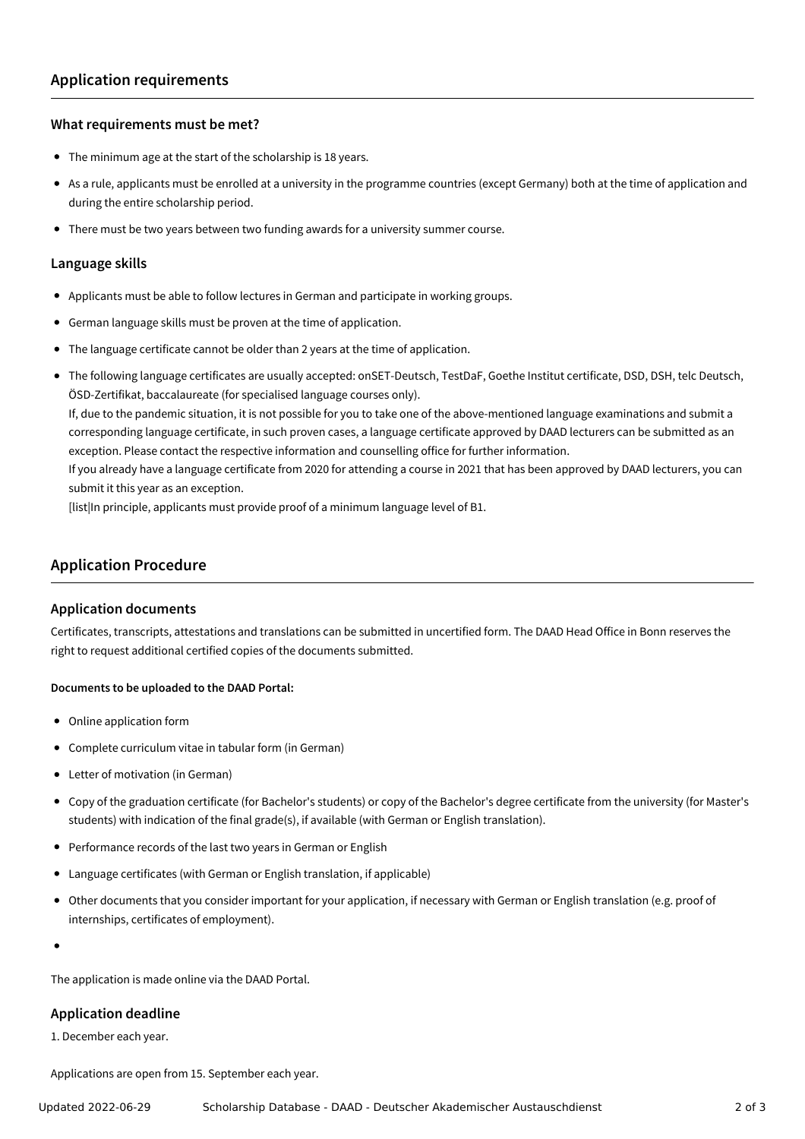#### **What requirements must be met?**

- The minimum age at the start of the scholarship is 18 years.
- As a rule, applicants must be enrolled at a university in the programme countries (except Germany) both at the time of application and during the entire scholarship period.
- There must be two years between two funding awards for a university summer course.

#### **Language skills**

- Applicants must be able to follow lectures in German and participate in working groups.
- German language skills must be proven at the time of application.
- The language certificate cannot be older than 2 years at the time of application.
- The following language certificates are usually accepted: onSET-Deutsch, TestDaF, Goethe Institut certificate, DSD, DSH, telc Deutsch, ÖSD-Zertifikat, baccalaureate (for specialised language courses only).

If, due to the pandemic situation, it is not possible for you to take one of the above-mentioned language examinations and submit a corresponding language certificate, in such proven cases, a language certificate approved by DAAD lecturers can be submitted as an exception. Please contact the respective information and counselling office for further information.

If you already have a language certificate from 2020 for attending a course in 2021 that has been approved by DAAD lecturers, you can submit it this year as an exception.

[list|In principle, applicants must provide proof of a minimum language level of B1.

### **Application Procedure**

#### **Application documents**

Certificates, transcripts, attestations and translations can be submitted in uncertified form. The DAAD Head Office in Bonn reserves the right to request additional certified copies of the documents submitted.

#### **Documents to be uploaded to the DAAD Portal:**

- Online application form
- Complete curriculum vitae in tabular form (in German)
- Letter of motivation (in German)
- Copy of the graduation certificate (for Bachelor's students) or copy of the Bachelor's degree certificate from the university (for Master's students) with indication of the final grade(s), if available (with German or English translation).
- Performance records of the last two years in German or English
- Language certificates (with German or English translation, if applicable)
- Other documents that you consider important for your application, if necessary with German or English translation (e.g. proof of internships, certificates of employment).
- 

The application is made online via the DAAD Portal.

#### **Application deadline**

1. December each year.

Applications are open from 15. September each year.